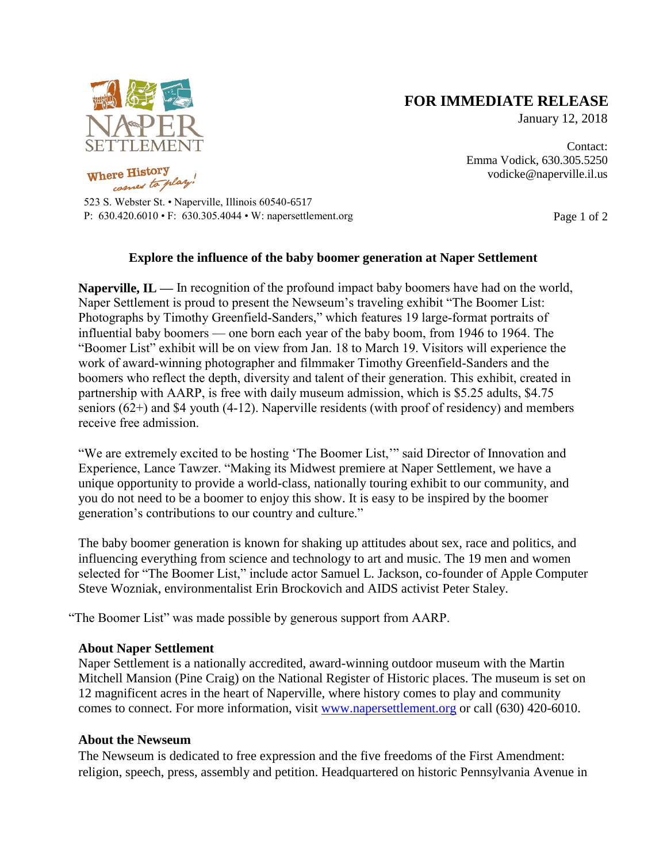

re History,

## **FOR IMMEDIATE RELEASE**

January 12, 2018

Contact: Emma Vodick, 630.305.5250 vodicke@naperville.il.us

523 S. Webster St. • Naperville, Illinois 60540-6517 P:  $630.420.6010 \cdot F$ :  $630.305.4044 \cdot W$ : napersettlement.org Page 1 of 2

## **Explore the influence of the baby boomer generation at Naper Settlement**

**Naperville, IL** — In recognition of the profound impact baby boomers have had on the world, Naper Settlement is proud to present the Newseum's traveling exhibit "The Boomer List: Photographs by Timothy Greenfield-Sanders," which features 19 large-format portraits of influential baby boomers — one born each year of the baby boom, from 1946 to 1964. The "Boomer List" exhibit will be on view from Jan. 18 to March 19. Visitors will experience the work of award-winning photographer and filmmaker Timothy Greenfield-Sanders and the boomers who reflect the depth, diversity and talent of their generation. This exhibit, created in partnership with AARP, is free with daily museum admission, which is \$5.25 adults, \$4.75 seniors (62+) and \$4 youth (4-12). Naperville residents (with proof of residency) and members receive free admission.

"We are extremely excited to be hosting 'The Boomer List,'" said Director of Innovation and Experience, Lance Tawzer. "Making its Midwest premiere at Naper Settlement, we have a unique opportunity to provide a world-class, nationally touring exhibit to our community, and you do not need to be a boomer to enjoy this show. It is easy to be inspired by the boomer generation's contributions to our country and culture."

The baby boomer generation is known for shaking up attitudes about sex, race and politics, and influencing everything from science and technology to art and music. The 19 men and women selected for "The Boomer List," include actor Samuel L. Jackson, co-founder of Apple Computer Steve Wozniak, environmentalist Erin Brockovich and AIDS activist Peter Staley.

"The Boomer List" was made possible by generous support from AARP.

## **About Naper Settlement**

Naper Settlement is a nationally accredited, award-winning outdoor museum with the Martin Mitchell Mansion (Pine Craig) on the National Register of Historic places. The museum is set on 12 magnificent acres in the heart of Naperville, where history comes to play and community comes to connect. For more information, visit [www.napersettlement.org](http://www.napersettlement.org/) or call (630) 420-6010.

## **About the Newseum**

The Newseum is dedicated to free expression and the five freedoms of the First Amendment: religion, speech, press, assembly and petition. Headquartered on historic Pennsylvania Avenue in